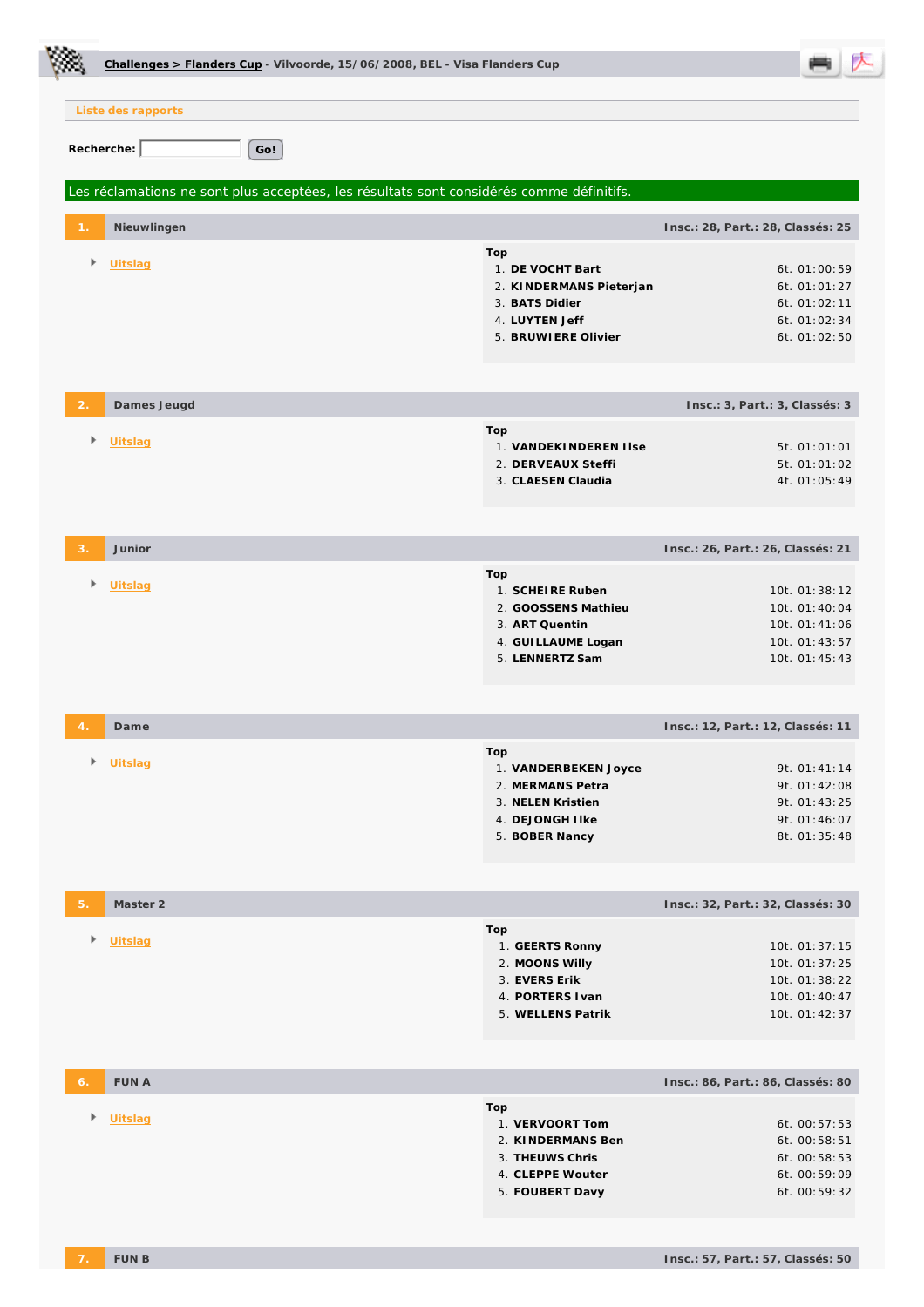|               | Challenges > Flanders Cup - Vilvoorde, 15/06/2008, BEL - Visa Flanders Cup               |                                                                                                               |                                                                                   |
|---------------|------------------------------------------------------------------------------------------|---------------------------------------------------------------------------------------------------------------|-----------------------------------------------------------------------------------|
|               | Liste des rapports                                                                       |                                                                                                               |                                                                                   |
|               | Recherche:<br>Go!                                                                        |                                                                                                               |                                                                                   |
|               | Les réclamations ne sont plus acceptées, les résultats sont considérés comme définitifs. |                                                                                                               |                                                                                   |
|               | Nieuwlingen                                                                              |                                                                                                               | Insc.: 28, Part.: 28, Classés: 25                                                 |
| Þ             | <b>Uitslag</b>                                                                           | Top<br>1. DE VOCHT Bart<br>2. KINDERMANS Pieterjan<br>3. BATS Didier<br>4. LUYTEN Jeff<br>5. BRUWIERE Olivier | 6t. 01:00:59<br>6t. 01:01:27<br>6t. 01:02:11<br>6t. 01:02:34<br>6t. 01:02:50      |
| $\mathcal{P}$ | Dames Jeugd                                                                              |                                                                                                               | Insc.: 3, Part.: 3, Classés: 3                                                    |
| Þ             | <b>Uitslag</b>                                                                           | Top<br>1. VANDEKINDEREN I Ise<br>2. DERVEAUX Steffi<br>3. CLAESEN Claudia                                     | 5t. 01:01:01<br>5t. 01:01:02<br>4t. 01:05:49                                      |
| 3.            | Junior                                                                                   |                                                                                                               | Insc.: 26, Part.: 26, Classés: 21                                                 |
| ۰             | Uitslag                                                                                  | Top<br>1. SCHEIRE Ruben<br>2. GOOSSENS Mathieu<br>3. ART Quentin<br>4. GUI LLAUME Logan<br>5. LENNERTZ Sam    | 10t. 01:38:12<br>10t. 01:40:04<br>10t. 01:41:06<br>10t. 01:43:57<br>10t. 01:45:43 |
| 4.            | Dame                                                                                     |                                                                                                               | Insc.: 12, Part.: 12, Classés: 11                                                 |
| Þ             | Uitslag                                                                                  | Top<br>1. VANDERBEKEN Joyce<br>2. MERMANS Petra<br>3. NELEN Kristien<br>4. DEJONGH I Ike<br>5. BOBER Nancy    | 9t. 01:41:14<br>9t. 01:42:08<br>9t. 01:43:25<br>9t. 01:46:07<br>8t. 01:35:48      |
| 5.            | Master 2                                                                                 |                                                                                                               | Insc.: 32, Part.: 32, Classés: 30                                                 |
| Þ             | Uitslag                                                                                  | Top<br>1. GEERTS Ronny<br>2. MOONS Willy<br>3. EVERS Erik<br>4. PORTERS I van<br>5. WELLENS Patrik            | 10t. 01:37:15<br>10t. 01:37:25<br>10t. 01:38:22<br>10t. 01:40:47<br>10t. 01:42:37 |
| 6.            | <b>FUN A</b>                                                                             |                                                                                                               | Insc.: 86, Part.: 86, Classés: 80                                                 |
| Þ             | <b>Uitslag</b>                                                                           | Top<br>1. VERVOORT Tom<br>2. KINDERMANS Ben<br>3. THEUWS Chris<br>4. CLEPPE Wouter<br>5. FOUBERT Davy         | 6t. 00:57:53<br>6t. 00:58:51<br>6t. 00:58:53<br>6t. 00:59:09<br>6t. 00:59:32      |